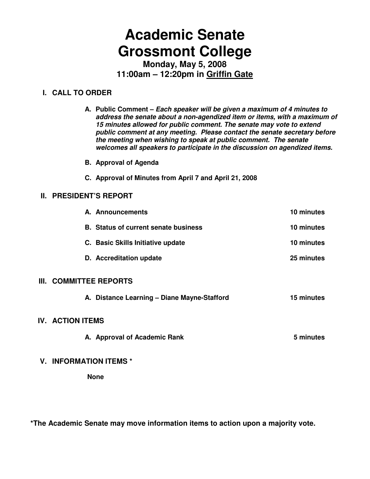# **Academic Senate Grossmont College**

**Monday, May 5, 2008 11:00am – 12:20pm in Griffin Gate**

# **I. CALL TO ORDER**

- **A. Public Comment Each speaker will be given a maximum of 4 minutes to address the senate about a non-agendized item or items, with a maximum of 15 minutes allowed for public comment. The senate may vote to extend public comment at any meeting. Please contact the senate secretary before the meeting when wishing to speak at public comment. The senate welcomes all speakers to participate in the discussion on agendized items.**
- **B. Approval of Agenda**
- **C. Approval of Minutes from April 7 and April 21, 2008**

# **II. PRESIDENT'S REPORT**

| A. Announcements                            | 10 minutes |
|---------------------------------------------|------------|
| <b>B.</b> Status of current senate business | 10 minutes |
| C. Basic Skills Initiative update           | 10 minutes |
| D. Accreditation update                     | 25 minutes |

# **III. COMMITTEE REPORTS**

|  | A. Distance Learning - Diane Mayne-Stafford |  |  | 15 minutes |
|--|---------------------------------------------|--|--|------------|
|--|---------------------------------------------|--|--|------------|

# **IV. ACTION ITEMS**

A. Approval of Academic Rank **6 and 3 minutes** 5 minutes

# **V. INFORMATION ITEMS \***

 **None** 

**\*The Academic Senate may move information items to action upon a majority vote.**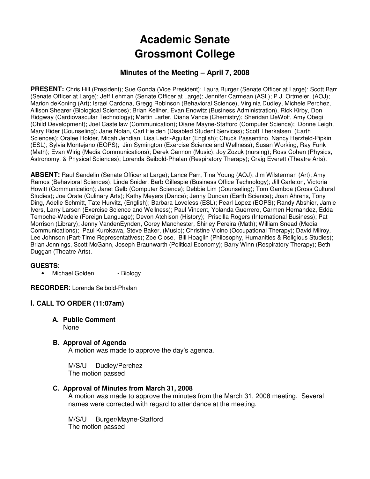# **Academic Senate Grossmont College**

# **Minutes of the Meeting – April 7, 2008**

**PRESENT:** Chris Hill (President); Sue Gonda (Vice President); Laura Burger (Senate Officer at Large); Scott Barr (Senate Officer at Large); Jeff Lehman (Senate Officer at Large); Jennifer Carmean (ASL); P.J. Ortmeier, (AOJ); Marion deKoning (Art); Israel Cardona, Gregg Robinson (Behavioral Science), Virginia Dudley, Michele Perchez, Allison Shearer (Biological Sciences); Brian Keliher, Evan Enowitz (Business Administration), Rick Kirby, Don Ridgway (Cardiovascular Technology); Martin Larter, Diana Vance (Chemistry); Sheridan DeWolf, Amy Obegi (Child Development); Joel Castellaw (Communication); Diane Mayne-Stafford (Computer Science); Donne Leigh, Mary Rider (Counseling); Jane Nolan, Carl Fielden (Disabled Student Services); Scott Therkalsen (Earth Sciences); Oralee Holder, Micah Jendian, Lisa Ledri-Aguilar (English); Chuck Passentino, Nancy Herzfeld-Pipkin (ESL); Sylvia Montejano (EOPS); Jim Symington (Exercise Science and Wellness); Susan Working, Ray Funk (Math); Evan Wirig (Media Communications); Derek Cannon (Music); Joy Zozuk (nursing); Ross Cohen (Physics, Astronomy, & Physical Sciences); Lorenda Seibold-Phalan (Respiratory Therapy); Craig Everett (Theatre Arts).

**ABSENT:** Raul Sandelin (Senate Officer at Large); Lance Parr, Tina Young (AOJ); Jim Wilsterman (Art); Amy Ramos (Behavioral Sciences); Linda Snider, Barb Gillespie (Business Office Technology); Jill Carleton, Victoria Howitt (Communication); Janet Gelb (Computer Science); Debbie Lim (Counseling); Tom Gamboa (Cross Cultural Studies); Joe Orate (Culinary Arts); Kathy Meyers (Dance); Jenny Duncan (Earth Science); Joan Ahrens, Tony Ding, Adelle Schmitt, Tate Hurvitz, (English); Barbara Loveless (ESL); Pearl Lopez (EOPS); Randy Abshier, Jamie Ivers, Larry Larsen (Exercise Science and Wellness); Paul Vincent, Yolanda Guerrero, Carmen Hernandez, Edda Temoche-Wedele (Foreign Language); Devon Atchison (History); Priscilla Rogers (International Business); Pat Morrison (Library); Jenny VandenEynden, Corey Manchester, Shirley Pereira (Math); William Snead (Media Communications); Paul Kurokawa, Steve Baker, (Music); Christine Vicino (Occupational Therapy); David Milroy, Lee Johnson (Part-Time Representatives); Zoe Close, Bill Hoaglin (Philosophy, Humanities & Religious Studies); Brian Jennings, Scott McGann, Joseph Braunwarth (Political Economy); Barry Winn (Respiratory Therapy); Beth Duggan (Theatre Arts).

### **GUESTS**:

• Michael Golden - Biology

**RECORDER**: Lorenda Seibold-Phalan

# **I. CALL TO ORDER (11:07am)**

- **A. Public Comment** 
	- None
- **B. Approval of Agenda**

A motion was made to approve the day's agenda.

M/S/U Dudley/Perchez The motion passed

### **C. Approval of Minutes from March 31, 2008**

A motion was made to approve the minutes from the March 31, 2008 meeting. Several names were corrected with regard to attendance at the meeting.

M/S/U Burger/Mayne-Stafford The motion passed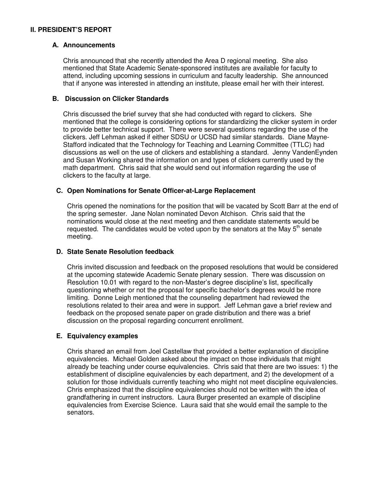### **II. PRESIDENT'S REPORT**

### **A. Announcements**

Chris announced that she recently attended the Area D regional meeting. She also mentioned that State Academic Senate-sponsored institutes are available for faculty to attend, including upcoming sessions in curriculum and faculty leadership. She announced that if anyone was interested in attending an institute, please email her with their interest.

### **B. Discussion on Clicker Standards**

Chris discussed the brief survey that she had conducted with regard to clickers. She mentioned that the college is considering options for standardizing the clicker system in order to provide better technical support. There were several questions regarding the use of the clickers. Jeff Lehman asked if either SDSU or UCSD had similar standards. Diane Mayne-Stafford indicated that the Technology for Teaching and Learning Committee (TTLC) had discussions as well on the use of clickers and establishing a standard. Jenny VandenEynden and Susan Working shared the information on and types of clickers currently used by the math department. Chris said that she would send out information regarding the use of clickers to the faculty at large.

### **C. Open Nominations for Senate Officer-at-Large Replacement**

Chris opened the nominations for the position that will be vacated by Scott Barr at the end of the spring semester. Jane Nolan nominated Devon Atchison. Chris said that the nominations would close at the next meeting and then candidate statements would be requested. The candidates would be voted upon by the senators at the May  $5<sup>th</sup>$  senate meeting.

### **D. State Senate Resolution feedback**

Chris invited discussion and feedback on the proposed resolutions that would be considered at the upcoming statewide Academic Senate plenary session. There was discussion on Resolution 10.01 with regard to the non-Master's degree discipline's list, specifically questioning whether or not the proposal for specific bachelor's degrees would be more limiting. Donne Leigh mentioned that the counseling department had reviewed the resolutions related to their area and were in support. Jeff Lehman gave a brief review and feedback on the proposed senate paper on grade distribution and there was a brief discussion on the proposal regarding concurrent enrollment.

### **E. Equivalency examples**

Chris shared an email from Joel Castellaw that provided a better explanation of discipline equivalencies. Michael Golden asked about the impact on those individuals that might already be teaching under course equivalencies. Chris said that there are two issues: 1) the establishment of discipline equivalencies by each department, and 2) the development of a solution for those individuals currently teaching who might not meet discipline equivalencies. Chris emphasized that the discipline equivalencies should not be written with the idea of grandfathering in current instructors. Laura Burger presented an example of discipline equivalencies from Exercise Science. Laura said that she would email the sample to the senators.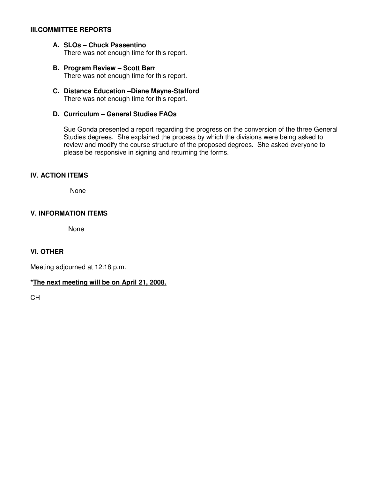### **III.COMMITTEE REPORTS**

#### **A. SLOs – Chuck Passentino**  There was not enough time for this report.

- **B. Program Review Scott Barr**  There was not enough time for this report.
- **C. Distance Education –Diane Mayne-Stafford**  There was not enough time for this report.
- **D. Curriculum General Studies FAQs**

Sue Gonda presented a report regarding the progress on the conversion of the three General Studies degrees. She explained the process by which the divisions were being asked to review and modify the course structure of the proposed degrees. She asked everyone to please be responsive in signing and returning the forms.

### **IV. ACTION ITEMS**

None

# **V. INFORMATION ITEMS**

None

### **VI. OTHER**

Meeting adjourned at 12:18 p.m.

### **\*The next meeting will be on April 21, 2008.**

CH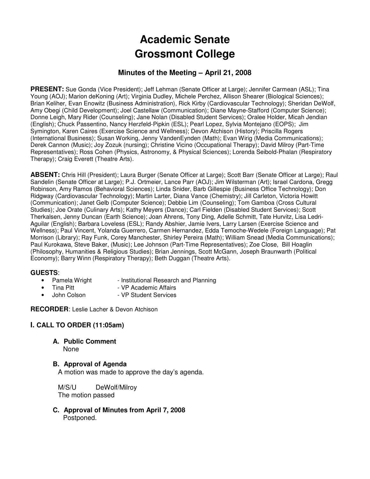# **Academic Senate Grossmont College**

# **Minutes of the Meeting – April 21, 2008**

**PRESENT:** Sue Gonda (Vice President); Jeff Lehman (Senate Officer at Large); Jennifer Carmean (ASL); Tina Young (AOJ); Marion deKoning (Art); Virginia Dudley, Michele Perchez, Allison Shearer (Biological Sciences); Brian Keliher, Evan Enowitz (Business Administration), Rick Kirby (Cardiovascular Technology); Sheridan DeWolf, Amy Obegi (Child Development); Joel Castellaw (Communication); Diane Mayne-Stafford (Computer Science); Donne Leigh, Mary Rider (Counseling); Jane Nolan (Disabled Student Services); Oralee Holder, Micah Jendian (English); Chuck Passentino, Nancy Herzfeld-Pipkin (ESL); Pearl Lopez, Sylvia Montejano (EOPS); Jim Symington, Karen Caires (Exercise Science and Wellness); Devon Atchison (History); Priscilla Rogers (International Business); Susan Working, Jenny VandenEynden (Math); Evan Wirig (Media Communications); Derek Cannon (Music); Joy Zozuk (nursing); Christine Vicino (Occupational Therapy); David Milroy (Part-Time Representatives); Ross Cohen (Physics, Astronomy, & Physical Sciences); Lorenda Seibold-Phalan (Respiratory Therapy); Craig Everett (Theatre Arts).

**ABSENT:** Chris Hill (President); Laura Burger (Senate Officer at Large); Scott Barr (Senate Officer at Large); Raul Sandelin (Senate Officer at Large); P.J. Ortmeier, Lance Parr (AOJ); Jim Wilsterman (Art); Israel Cardona, Gregg Robinson, Amy Ramos (Behavioral Sciences); Linda Snider, Barb Gillespie (Business Office Technology); Don Ridgway (Cardiovascular Technology); Martin Larter, Diana Vance (Chemistry); Jill Carleton, Victoria Howitt (Communication); Janet Gelb (Computer Science); Debbie Lim (Counseling); Tom Gamboa (Cross Cultural Studies); Joe Orate (Culinary Arts); Kathy Meyers (Dance); Carl Fielden (Disabled Student Services); Scott Therkalsen, Jenny Duncan (Earth Science); Joan Ahrens, Tony Ding, Adelle Schmitt, Tate Hurvitz, Lisa Ledri-Aguilar (English); Barbara Loveless (ESL); Randy Abshier, Jamie Ivers, Larry Larsen (Exercise Science and Wellness); Paul Vincent, Yolanda Guerrero, Carmen Hernandez, Edda Temoche-Wedele (Foreign Language); Pat Morrison (Library); Ray Funk, Corey Manchester, Shirley Pereira (Math); William Snead (Media Communications); Paul Kurokawa, Steve Baker, (Music); Lee Johnson (Part-Time Representatives); Zoe Close, Bill Hoaglin (Philosophy, Humanities & Religious Studies); Brian Jennings, Scott McGann, Joseph Braunwarth (Political Economy); Barry Winn (Respiratory Therapy); Beth Duggan (Theatre Arts).

# **GUESTS**:

- Pamela Wright Institutional Research and Planning
- Tina Pitt VP Academic Affairs
- John Colson VP Student Services

**RECORDER**: Leslie Lacher & Devon Atchison

# **I. CALL TO ORDER (11:05am)**

### **A. Public Comment**

None

# **B. Approval of Agenda**

A motion was made to approve the day's agenda.

M/S/U DeWolf/Milroy The motion passed

**C. Approval of Minutes from April 7, 2008**  Postponed.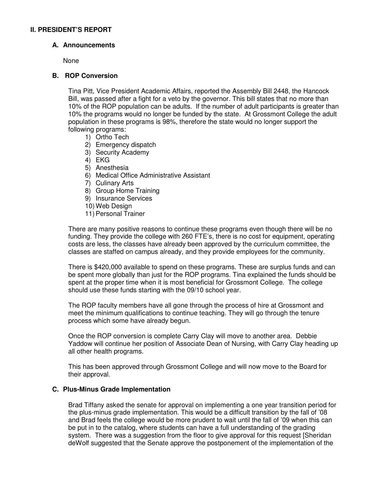### **II. PRESIDENT'S REPORT**

### **A. Announcements**

None

### **B. ROP Conversion**

Tina Pitt, Vice President Academic Affairs, reported the Assembly Bill 2448, the Hancock Bill, was passed after a fight for a veto by the governor. This bill states that no more than 10% of the ROP population can be adults. If the number of adult participants is greater than 10% the programs would no longer be funded by the state. At Grossmont College the adult population in these programs is 98%, therefore the state would no longer support the following programs:

- 1) Ortho Tech
- 2) Emergency dispatch
- 3) Security Academy
- 4) EKG
- 5) Anesthesia
- 6) Medical Office Administrative Assistant
- 7) Culinary Arts
- 8) Group Home Training
- 9) Insurance Services
- 10) Web Design
- 11) Personal Trainer

There are many positive reasons to continue these programs even though there will be no funding. They provide the college with 260 FTE's, there is no cost for equipment, operating costs are less, the classes have already been approved by the curriculum committee, the classes are staffed on campus already, and they provide employees for the community.

There is \$420,000 available to spend on these programs. These are surplus funds and can be spent more globally than just for the ROP programs. Tina explained the funds should be spent at the proper time when it is most beneficial for Grossmont College. The college should use these funds starting with the 09/10 school year.

The ROP faculty members have all gone through the process of hire at Grossmont and meet the minimum qualifications to continue teaching. They will go through the tenure process which some have already begun.

Once the ROP conversion is complete Carry Clay will move to another area. Debbie Yaddow will continue her position of Associate Dean of Nursing, with Carry Clay heading up all other health programs.

This has been approved through Grossmont College and will now move to the Board for their approval.

### **C. Plus-Minus Grade Implementation**

Brad Tiffany asked the senate for approval on implementing a one year transition period for the plus-minus grade implementation. This would be a difficult transition by the fall of '08 and Brad feels the college would be more prudent to wait until the fall of '09 when this can be put in to the catalog, where students can have a full understanding of the grading system. There was a suggestion from the floor to give approval for this request [Sheridan deWolf suggested that the Senate approve the postponement of the implementation of the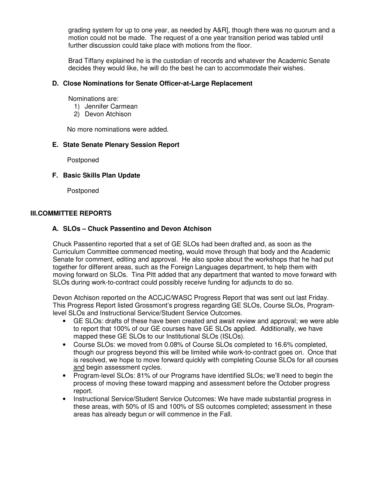grading system for up to one year, as needed by A&R], though there was no quorum and a motion could not be made. The request of a one year transition period was tabled until further discussion could take place with motions from the floor.

Brad Tiffany explained he is the custodian of records and whatever the Academic Senate decides they would like, he will do the best he can to accommodate their wishes.

### **D. Close Nominations for Senate Officer-at-Large Replacement**

Nominations are:

- 1) Jennifer Carmean
- 2) Devon Atchison

No more nominations were added.

### **E. State Senate Plenary Session Report**

Postponed

### **F. Basic Skills Plan Update**

Postponed

### **III.COMMITTEE REPORTS**

### **A. SLOs – Chuck Passentino and Devon Atchison**

Chuck Passentino reported that a set of GE SLOs had been drafted and, as soon as the Curriculum Committee commenced meeting, would move through that body and the Academic Senate for comment, editing and approval. He also spoke about the workshops that he had put together for different areas, such as the Foreign Languages department, to help them with moving forward on SLOs. Tina Pitt added that any department that wanted to move forward with SLOs during work-to-contract could possibly receive funding for adjuncts to do so.

Devon Atchison reported on the ACCJC/WASC Progress Report that was sent out last Friday. This Progress Report listed Grossmont's progress regarding GE SLOs, Course SLOs, Programlevel SLOs and Instructional Service/Student Service Outcomes.

- GE SLOs: drafts of these have been created and await review and approval; we were able to report that 100% of our GE courses have GE SLOs applied. Additionally, we have mapped these GE SLOs to our Institutional SLOs (ISLOs).
- Course SLOs: we moved from 0.08% of Course SLOs completed to 16.6% completed, though our progress beyond this will be limited while work-to-contract goes on. Once that is resolved, we hope to move forward quickly with completing Course SLOs for all courses and begin assessment cycles.
- Program-level SLOs: 81% of our Programs have identified SLOs; we'll need to begin the process of moving these toward mapping and assessment before the October progress report.
- Instructional Service/Student Service Outcomes: We have made substantial progress in these areas, with 50% of IS and 100% of SS outcomes completed; assessment in these areas has already begun or will commence in the Fall.